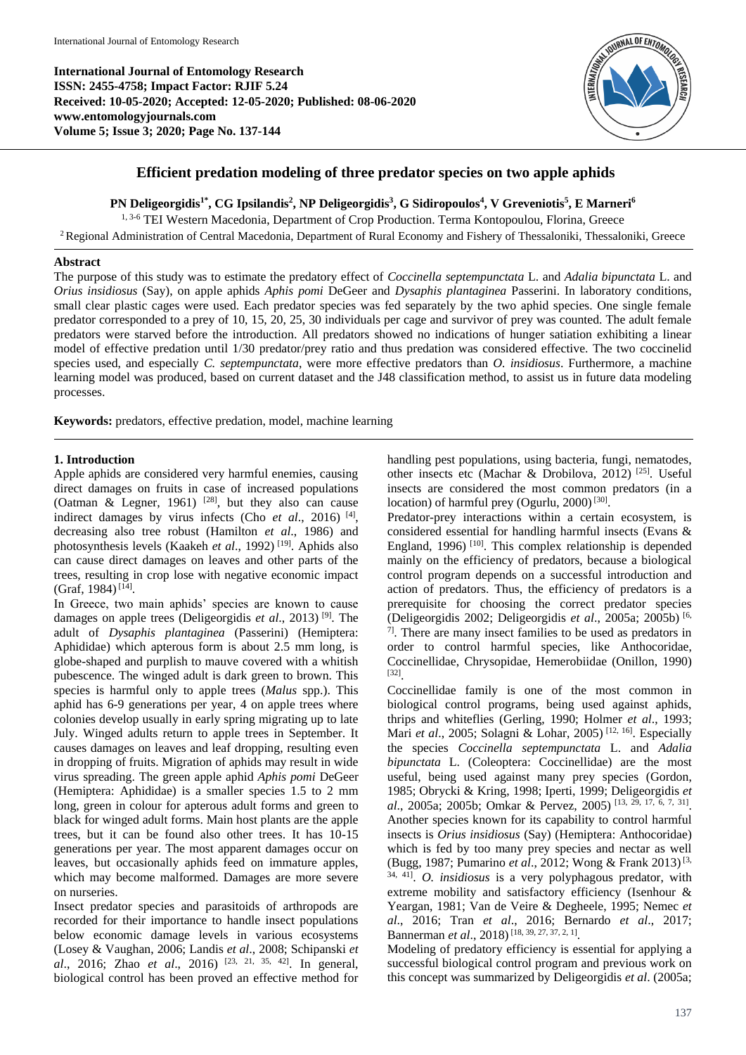**International Journal of Entomology Research ISSN: 2455-4758; Impact Factor: RJIF 5.24 Received: 10-05-2020; Accepted: 12-05-2020; Published: 08-06-2020 www.entomologyjournals.com Volume 5; Issue 3; 2020; Page No. 137-144**



# **Efficient predation modeling of three predator species on two apple aphids**

**PN Deligeorgidis1\* , CG Ipsilandis<sup>2</sup> , NP Deligeorgidis<sup>3</sup> , G Sidiropoulos<sup>4</sup> , V Greveniotis<sup>5</sup> , E Marneri<sup>6</sup>**

<sup>1, 3-6</sup> TEI Western Macedonia, Department of Crop Production. Terma Kontopoulou, Florina, Greece <sup>2</sup> Regional Administration of Central Macedonia, Department of Rural Economy and Fishery of Thessaloniki, Thessaloniki, Greece

## **Abstract**

The purpose of this study was to estimate the predatory effect of *Coccinella septempunctata* L. and *Adalia bipunctata* L. and *Orius insidiosus* (Say), on apple aphids *Aphis pomi* DeGeer and *Dysaphis plantaginea* Passerini. In laboratory conditions, small clear plastic cages were used. Each predator species was fed separately by the two aphid species. One single female predator corresponded to a prey of 10, 15, 20, 25, 30 individuals per cage and survivor of prey was counted. The adult female predators were starved before the introduction. All predators showed no indications of hunger satiation exhibiting a linear model of effective predation until 1/30 predator/prey ratio and thus predation was considered effective. The two coccinelid species used, and especially *C. septempunctata*, were more effective predators than *O. insidiosus*. Furthermore, a machine learning model was produced, based on current dataset and the J48 classification method, to assist us in future data modeling processes.

**Keywords:** predators, effective predation, model, machine learning

## **1. Introduction**

Apple aphids are considered very harmful enemies, causing direct damages on fruits in case of increased populations (Oatman & Legner, 1961) <sup>[28]</sup>, but they also can cause indirect damages by virus infects (Cho et al., 2016)<sup>[4]</sup>, decreasing also tree robust (Hamilton *et al*., 1986) and photosynthesis levels (Kaakeh *et al*., 1992) [19]. Aphids also can cause direct damages on leaves and other parts of the trees, resulting in crop lose with negative economic impact  $(Graf, 1984)^{[14]}$ .

In Greece, two main aphids' species are known to cause damages on apple trees (Deligeorgidis *et al*., 2013) [9] . The adult of *Dysaphis plantaginea* (Passerini) (Hemiptera: Aphididae) which apterous form is about 2.5 mm long, is globe-shaped and purplish to mauve covered with a whitish pubescence. The winged adult is dark green to brown. This species is harmful only to apple trees (*Malus* spp.). This aphid has 6-9 generations per year, 4 on apple trees where colonies develop usually in early spring migrating up to late July. Winged adults return to apple trees in September. It causes damages on leaves and leaf dropping, resulting even in dropping of fruits. Migration of aphids may result in wide virus spreading. The green apple aphid *Aphis pomi* DeGeer (Hemiptera: Aphididae) is a smaller species 1.5 to 2 mm long, green in colour for apterous adult forms and green to black for winged adult forms. Main host plants are the apple trees, but it can be found also other trees. It has 10-15 generations per year. The most apparent damages occur on leaves, but occasionally aphids feed on immature apples, which may become malformed. Damages are more severe on nurseries.

Insect predator species and parasitoids of arthropods are recorded for their importance to handle insect populations below economic damage levels in various ecosystems (Losey & Vaughan, 2006; Landis *et al*., 2008; Schipanski *et al*., 2016; Zhao *et al*., 2016) [23, 21, 35, 42]. In general, biological control has been proved an effective method for

handling pest populations, using bacteria, fungi, nematodes, other insects etc (Machar & Drobilova, 2012)<sup>[25]</sup>. Useful insects are considered the most common predators (in a location) of harmful prey (Ogurlu, 2000)<sup>[30]</sup>.

Predator-prey interactions within a certain ecosystem, is considered essential for handling harmful insects (Evans & England, 1996)  $[10]$ . This complex relationship is depended mainly on the efficiency of predators, because a biological control program depends on a successful introduction and action of predators. Thus, the efficiency of predators is a prerequisite for choosing the correct predator species (Deligeorgidis 2002; Deligeorgidis *et al*., 2005a; 2005b) [6,  $7<sup>7</sup>$ . There are many insect families to be used as predators in order to control harmful species, like Anthocoridae, Coccinellidae, Chrysopidae, Hemerobiidae (Onillon, 1990) [32] .

Coccinellidae family is one of the most common in biological control programs, being used against aphids, thrips and whiteflies (Gerling, 1990; Holmer *et al*., 1993; Mari *et al*., 2005; Solagni & Lohar, 2005) [12, 16]. Especially the species *Coccinella septempunctata* L. and *Adalia bipunctata* L. (Coleoptera: Coccinellidae) are the most useful, being used against many prey species (Gordon, 1985; Obrycki & Kring, 1998; Iperti, 1999; Deligeorgidis *et*  al., 2005a; 2005b; Omkar & Pervez, 2005)<sup>[13, 29, 17, 6, 7, 31]</sup>. Another species known for its capability to control harmful insects is *Orius insidiosus* (Say) (Hemiptera: Anthocoridae) which is fed by too many prey species and nectar as well (Bugg, 1987; Pumarino *et al*., 2012; Wong & Frank 2013) [3, 34, 41] . *O. insidiosus* is a very polyphagous predator, with extreme mobility and satisfactory efficiency (Isenhour & Yeargan, 1981; Van de Veire & Degheele, 1995; Nemec *et al*., 2016; Tran *et al*., 2016; Bernardo *et al*., 2017; Bannerman *et al.*, 2018)<sup>[18, 39, 27, 37, 2, 1].</sup>

Modeling of predatory efficiency is essential for applying a successful biological control program and previous work on this concept was summarized by Deligeorgidis *et al*. (2005a;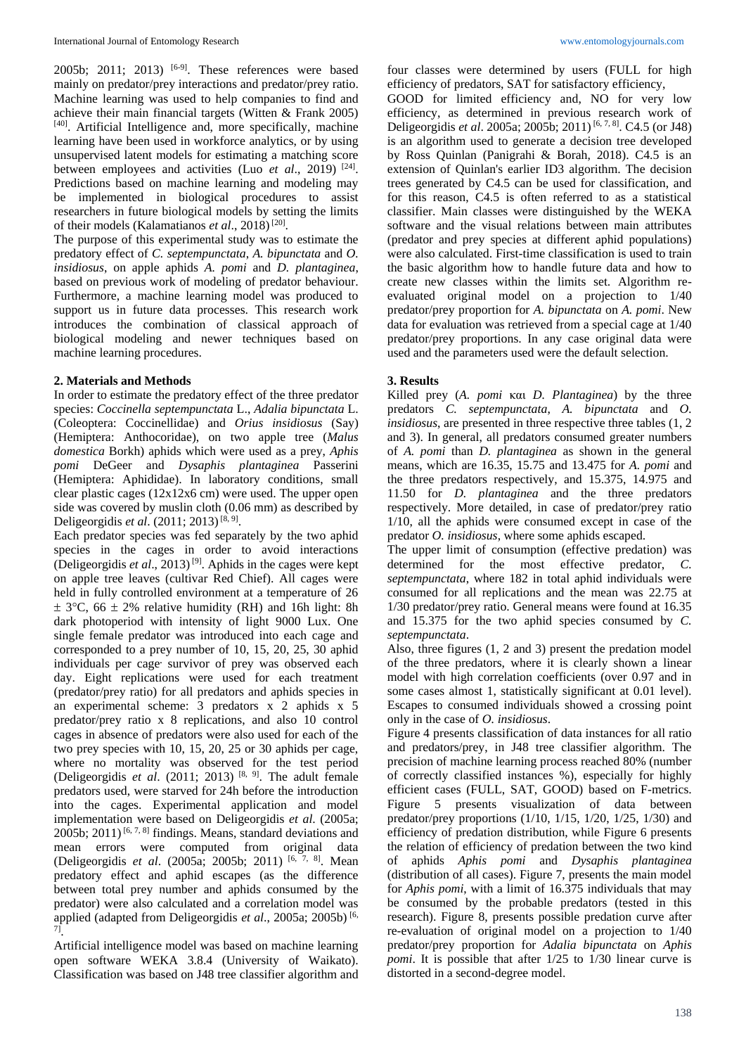2005b; 2011; 2013)  $[6-9]$ . These references were based mainly on predator/prey interactions and predator/prey ratio. Μachine learning was used to help companies to find and achieve their main financial targets (Witten & Frank 2005)  $[40]$ . Artificial Intelligence and, more specifically, machine learning have been used in workforce analytics, or by using unsupervised latent models for estimating a matching score between employees and activities (Luo *et al.*, 2019)<sup>[24]</sup>. Predictions based on machine learning and modeling may be implemented in biological procedures to assist researchers in future biological models by setting the limits of their models (Kalamatianos et al., 2018)<sup>[20]</sup>.

The purpose of this experimental study was to estimate the predatory effect of *C. septempunctata*, *A. bipunctata* and *O. insidiosus*, on apple aphids *A. pomi* and *D. plantaginea*, based on previous work of modeling of predator behaviour. Furthermore, a machine learning model was produced to support us in future data processes. This research work introduces the combination of classical approach of biological modeling and newer techniques based on machine learning procedures.

### **2. Materials and Methods**

In order to estimate the predatory effect of the three predator species: *Coccinella septempunctata* L., *Adalia bipunctata* L. (Coleoptera: Coccinellidae) and *Orius insidiosus* (Say) (Hemiptera: Anthocoridae), on two apple tree (*Malus domestica* Borkh) aphids which were used as a prey, *Aphis pomi* DeGeer and *Dysaphis plantaginea* Passerini (Hemiptera: Aphididae). In laboratory conditions, small clear plastic cages (12x12x6 cm) were used. The upper open side was covered by muslin cloth (0.06 mm) as described by Deligeorgidis *et al.* (2011; 2013)<sup>[8, 9]</sup>.

Each predator species was fed separately by the two aphid species in the cages in order to avoid interactions (Deligeorgidis et al., 2013)<sup>[9]</sup>. Aphids in the cages were kept on apple tree leaves (cultivar Red Chief). All cages were held in fully controlled environment at a temperature of 26  $\pm$  3°C, 66  $\pm$  2% relative humidity (RH) and 16h light: 8h dark photoperiod with intensity of light 9000 Lux. One single female predator was introduced into each cage and corresponded to a prey number of 10, 15, 20, 25, 30 aphid individuals per cage**.** survivor of prey was observed each day. Eight replications were used for each treatment (predator/prey ratio) for all predators and aphids species in an experimental scheme: 3 predators x 2 aphids x 5 predator/prey ratio x 8 replications, and also 10 control cages in absence of predators were also used for each of the two prey species with 10, 15, 20, 25 or 30 aphids per cage, where no mortality was observed for the test period (Deligeorgidis *et al*. (2011; 2013) [8, 9] . The adult female predators used, were starved for 24h before the introduction into the cages. Experimental application and model implementation were based on Deligeorgidis *et al*. (2005a; 2005b; 2011)<sup>[6, 7, 8]</sup> findings. Means, standard deviations and mean errors were computed from original data (Deligeorgidis *et al.* (2005a; 2005b; 2011)<sup>[6, 7, 8]. Mean</sup> predatory effect and aphid escapes (as the difference between total prey number and aphids consumed by the predator) were also calculated and a correlation model was applied (adapted from Deligeorgidis *et al*., 2005a; 2005b) [6, 7] .

Artificial intelligence model was based on machine learning open software WEKA 3.8.4 (University of Waikato). Classification was based on J48 tree classifier algorithm and

four classes were determined by users (FULL for high efficiency of predators, SAT for satisfactory efficiency,

GOOD for limited efficiency and, NO for very low efficiency, as determined in previous research work of Deligeorgidis *et al.* 2005a; 2005b; 2011)<sup>[6, 7, 8]. C4.5 (or J48)</sup> is an algorithm used to generate a decision tree developed by Ross Quinlan (Panigrahi & Borah, 2018). C4.5 is an extension of Quinlan's earlier ID3 algorithm. The decision trees generated by C4.5 can be used for classification, and for this reason, C4.5 is often referred to as a statistical classifier. Main classes were distinguished by the WEKA software and the visual relations between main attributes (predator and prey species at different aphid populations) were also calculated. First-time classification is used to train the basic algorithm how to handle future data and how to create new classes within the limits set. Algorithm reevaluated original model on a projection to 1/40 predator/prey proportion for *A. bipunctata* on *A. pomi*. New data for evaluation was retrieved from a special cage at 1/40 predator/prey proportions. In any case original data were used and the parameters used were the default selection.

### **3. Results**

Killed prey (*A. pomi* και *D. Plantaginea*) by the three predators *C. septempunctata*, *A. bipunctata* and *O. insidiosus*, are presented in three respective three tables (1, 2 and 3). In general, all predators consumed greater numbers of *A. pomi* than *D. plantaginea* as shown in the general means, which are 16.35, 15.75 and 13.475 for *A. pomi* and the three predators respectively, and 15.375, 14.975 and 11.50 for *D. plantaginea* and the three predators respectively. More detailed, in case of predator/prey ratio 1/10, all the aphids were consumed except in case of the predator *O. insidiosus*, where some aphids escaped.

The upper limit of consumption (effective predation) was determined for the most effective predator, *C. septempunctata*, where 182 in total aphid individuals were consumed for all replications and the mean was 22.75 at 1/30 predator/prey ratio. General means were found at 16.35 and 15.375 for the two aphid species consumed by *C. septempunctata*.

Also, three figures (1, 2 and 3) present the predation model of the three predators, where it is clearly shown a linear model with high correlation coefficients (over 0.97 and in some cases almost 1, statistically significant at 0.01 level). Escapes to consumed individuals showed a crossing point only in the case of *O. insidiosus*.

Figure 4 presents classification of data instances for all ratio and predators/prey, in J48 tree classifier algorithm. The precision of machine learning process reached 80% (number of correctly classified instances %), especially for highly efficient cases (FULL, SAT, GOOD) based on F-metrics. Figure 5 presents visualization of data between predator/prey proportions (1/10, 1/15, 1/20, 1/25, 1/30) and efficiency of predation distribution, while Figure 6 presents the relation of efficiency of predation between the two kind of aphids *Aphis pomi* and *Dysaphis plantaginea*  (distribution of all cases). Figure 7, presents the main model for *Aphis pomi*, with a limit of 16.375 individuals that may be consumed by the probable predators (tested in this research). Figure 8, presents possible predation curve after re-evaluation of original model on a projection to 1/40 predator/prey proportion for *Adalia bipunctata* on *Aphis pomi*. It is possible that after  $1/25$  to  $1/30$  linear curve is distorted in a second-degree model.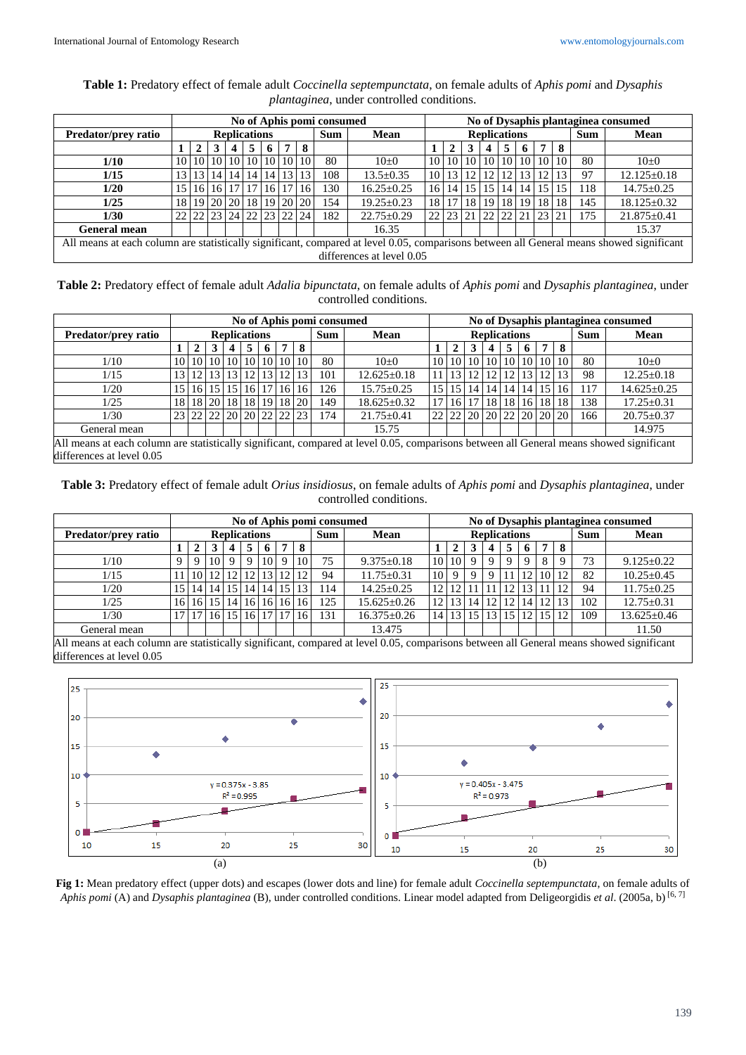|                                                                                                                                          | No of Aphis pomi consumed |                 |                      |                 |    |                 |                                  |                 |            |                  |                     | No of Dysaphis plantaginea consumed |                 |                 |                 |                 |                 |            |      |                   |
|------------------------------------------------------------------------------------------------------------------------------------------|---------------------------|-----------------|----------------------|-----------------|----|-----------------|----------------------------------|-----------------|------------|------------------|---------------------|-------------------------------------|-----------------|-----------------|-----------------|-----------------|-----------------|------------|------|-------------------|
| Predator/prev ratio                                                                                                                      | <b>Replications</b>       |                 |                      |                 |    |                 |                                  |                 | <b>Sum</b> | Mean             | <b>Replications</b> |                                     |                 |                 |                 |                 |                 | <b>Sum</b> | Mean |                   |
|                                                                                                                                          |                           |                 |                      | 4               | 5  | 6               | 7                                | 8               |            |                  |                     |                                     |                 |                 |                 | 6               | 7 <sup>1</sup>  | -8         |      |                   |
| 1/10                                                                                                                                     |                           |                 | 10 10 10 10 10 10 10 |                 |    |                 |                                  | 10 10           | 80         | $10+0$           | 10 <sup>1</sup>     | 10 <sup>1</sup>                     | 10 <sup>1</sup> | 10 10           |                 | 10 <sup>1</sup> |                 | 10 10      | 80   | $10+0$            |
| 1/15                                                                                                                                     |                           | 13 <sup>1</sup> | 14 <sup>1</sup>      | 14              | 14 | 14              | 13 <sup>1</sup>                  | 13 <sub>1</sub> | 108        | $13.5 \pm 0.35$  | 10                  |                                     |                 | 12 <sub>1</sub> | 12.             | 13              | 12 <sub>1</sub> | 13         | 97   | $12.125 \pm 0.18$ |
| 1/20                                                                                                                                     |                           | 16 I            | 16                   | 17 <sub>1</sub> |    | 16 <sup>1</sup> | 17                               | 16 <sub>1</sub> | 130        | $16.25 \pm 0.25$ | 16                  | 14                                  | 15              | 15 <sup>1</sup> | 14              | 14              | 15 <sup>1</sup> |            | 118  | $14.75 \pm 0.25$  |
| 1/25                                                                                                                                     |                           |                 | 18 19 20 20          |                 |    |                 | 18 19 20                         | 20 <sub>1</sub> | 154        | $19.25 \pm 0.23$ | 18                  |                                     | 18 I            | 19 <sup>1</sup> | 18 <sup>1</sup> | 19              | 18              | 18         | 145  | $18.125 \pm 0.32$ |
| 1/30                                                                                                                                     |                           |                 |                      |                 |    |                 | 22   23   24   22   23   22   24 |                 | 182        | $22.75 \pm 0.29$ | $22^{\circ}$        | 23                                  | 21              | 22 22           |                 | 21              | 123             |            | 175  | $21.875 \pm 0.41$ |
| <b>General mean</b>                                                                                                                      | 16.35<br>15.37            |                 |                      |                 |    |                 |                                  |                 |            |                  |                     |                                     |                 |                 |                 |                 |                 |            |      |                   |
| All means at each column are statistically significant, compared at level 0.05, comparisons between all General means showed significant |                           |                 |                      |                 |    |                 |                                  |                 |            |                  |                     |                                     |                 |                 |                 |                 |                 |            |      |                   |
|                                                                                                                                          | differences at level 0.05 |                 |                      |                 |    |                 |                                  |                 |            |                  |                     |                                     |                 |                 |                 |                 |                 |            |      |                   |

### **Table 1:** Predatory effect of female adult *Coccinella septempunctata*, on female adults of *Aphis pomi* and *Dysaphis plantaginea*, under controlled conditions.

| Table 2: Predatory effect of female adult Adalia bipunctata, on female adults of Aphis pomi and Dysaphis plantaginea, under |
|-----------------------------------------------------------------------------------------------------------------------------|
| controlled conditions.                                                                                                      |

|                                                                                                                                          | No of Aphis pomi consumed |  |                                  |  |  |                 |                 |                 |            |                   | No of Dysaphis plantaginea consumed |                 |                         |    |                 |                 |           |                 |             |                   |
|------------------------------------------------------------------------------------------------------------------------------------------|---------------------------|--|----------------------------------|--|--|-----------------|-----------------|-----------------|------------|-------------------|-------------------------------------|-----------------|-------------------------|----|-----------------|-----------------|-----------|-----------------|-------------|-------------------|
| Predator/prev ratio                                                                                                                      | <b>Replications</b>       |  |                                  |  |  |                 |                 |                 | <b>Sum</b> | Mean              | <b>Replications</b>                 |                 |                         |    |                 |                 |           | Sum             | <b>Mean</b> |                   |
|                                                                                                                                          |                           |  |                                  |  |  | 6               | $7^{\circ}$     | 8               |            |                   |                                     | $\mathbf{2}$    |                         |    | 5               | <sup>0</sup>    | 7         | 8               |             |                   |
| 1/10                                                                                                                                     | 10                        |  | 10 10 10 10 10 10 10             |  |  |                 |                 | 10 <sup>1</sup> | 80         | $10+0$            |                                     |                 | 10 10 10 10             |    |                 |                 | 10 10 10  | 10 <sub>1</sub> | 80          | $10\pm 0$         |
| 1/15                                                                                                                                     |                           |  | $13$ 13 12                       |  |  | 13 <sup>1</sup> | 12              | 13              | 101        | $12.625 \pm 0.18$ |                                     | 13 <sup>1</sup> | 12                      | 12 | 12 <sub>1</sub> | 13 <sup>1</sup> | 12        |                 | 98          | $12.25 \pm 0.18$  |
| 1/20                                                                                                                                     | 15                        |  | 16 15 15 16 17                   |  |  |                 | 16 <sup>1</sup> | 16              | 126        | $15.75 \pm 0.25$  | 15 <sup>1</sup>                     | 15              | 14 <sub>1</sub>         | 14 | 14 <sup>1</sup> | 14              | 15        | 16              | 117         | $14.625 \pm 0.25$ |
| 1/25                                                                                                                                     | 18                        |  | 18 20 18 18 19 18 20             |  |  |                 |                 |                 | 149        | $18.625 \pm 0.32$ |                                     | 16 <sup>1</sup> | 17                      | 18 |                 | 18 16           | <b>18</b> | 18              | 138         | $17.25 \pm 0.31$  |
| 1/30                                                                                                                                     | 23                        |  | 22    22    20    20    22    22 |  |  |                 |                 | 23              | 174        | $21.75 \pm 0.41$  |                                     |                 | 22 22 20 20 22 20 20 20 |    |                 |                 |           |                 | 166         | $20.75 \pm 0.37$  |
| General mean                                                                                                                             |                           |  |                                  |  |  |                 |                 |                 |            | 15.75             |                                     |                 |                         |    |                 |                 |           |                 |             | 14.975            |
| All means at each column are statistically significant, compared at level 0.05, comparisons between all General means showed significant |                           |  |                                  |  |  |                 |                 |                 |            |                   |                                     |                 |                         |    |                 |                 |           |                 |             |                   |
| differences at level 0.05                                                                                                                |                           |  |                                  |  |  |                 |                 |                 |            |                   |                                     |                 |                         |    |                 |                 |           |                 |             |                   |

**Table 3:** Predatory effect of female adult *Orius insidiosus*, on female adults of *Aphis pomi* and *Dysaphis plantaginea*, under controlled conditions.

|                                                                                                                                          |                 | No of Aphis pomi consumed |                             |                     |                 |                 |                 |                 |            |                   | No of Dysaphis plantaginea consumed |              |                 |    |                 |                 |                 |      |     |                   |
|------------------------------------------------------------------------------------------------------------------------------------------|-----------------|---------------------------|-----------------------------|---------------------|-----------------|-----------------|-----------------|-----------------|------------|-------------------|-------------------------------------|--------------|-----------------|----|-----------------|-----------------|-----------------|------|-----|-------------------|
| Predator/prev ratio                                                                                                                      |                 |                           |                             | <b>Replications</b> |                 |                 |                 |                 | <b>Sum</b> | <b>Mean</b>       | <b>Replications</b>                 |              |                 |    |                 |                 | <b>Sum</b>      | Mean |     |                   |
|                                                                                                                                          |                 |                           |                             |                     | 5               | 6               | 7               | 8               |            |                   |                                     | $\mathbf{2}$ |                 | 4  | 5               | Ð               | $\overline{7}$  | -8   |     |                   |
| 1/10                                                                                                                                     |                 |                           | $\vert$ 10                  | Q.                  | 9               | 10              | $\mathbf Q$     | 10              | 75         | $9.375 \pm 0.18$  |                                     | 10 10        | 9               | Q  | $\mathbf Q$     |                 | 8               |      | 73  | $9.125 \pm 0.22$  |
| 1/15                                                                                                                                     |                 |                           | 10 12                       | 12 <sup>1</sup>     | 12 <sub>1</sub> | 13 <sup>1</sup> | 12              | 12              | 94         | $11.75 \pm 0.31$  | 10                                  | 9            | 9               | 9  |                 | 12 <sub>1</sub> | 10 <sup>1</sup> | 12   | 82  | $10.25 \pm 0.45$  |
| 1/20                                                                                                                                     | 15 <sup>1</sup> |                           | 14 14                       | 15                  | 14 <sup>1</sup> | 14 <sup>1</sup> | 15 <sup>1</sup> | 13              | 114        | $14.25 \pm 0.25$  | 12 <sub>1</sub>                     | 12           |                 |    |                 | 3               |                 | 12   | 94  | $11.75 \pm 0.25$  |
| 1/25                                                                                                                                     |                 |                           | 16   16   15   14           |                     |                 | 16 16           | 16 <sup>1</sup> | 16              | 125        | $15.625 \pm 0.26$ | 12                                  | 131          | 14              | 12 | 12              | 14 <sub>1</sub> | 12 <sup>1</sup> | 13   | 102 | $12.75 \pm 0.31$  |
| 1/30                                                                                                                                     |                 |                           | 17   17   16   15   16   17 |                     |                 |                 | 17 <sup>1</sup> | 16 <sup>1</sup> | 131        | $16.375 \pm 0.26$ |                                     | $14$   13    | 15 <sup>1</sup> | 13 | 15 <sup>1</sup> | 12   15   12    |                 |      | 109 | $13.625 \pm 0.46$ |
| General mean                                                                                                                             |                 |                           |                             |                     |                 |                 |                 |                 |            | 13.475            |                                     |              |                 |    |                 |                 |                 |      |     | 11.50             |
| All means at each column are statistically significant, compared at level 0.05, comparisons between all General means showed significant |                 |                           |                             |                     |                 |                 |                 |                 |            |                   |                                     |              |                 |    |                 |                 |                 |      |     |                   |
| differences at level 0.05                                                                                                                |                 |                           |                             |                     |                 |                 |                 |                 |            |                   |                                     |              |                 |    |                 |                 |                 |      |     |                   |



**Fig 1:** Mean predatory effect (upper dots) and escapes (lower dots and line) for female adult *Coccinella septempunctata*, on female adults of *Aphis pomi* (A) and *Dysaphis plantaginea* (B), under controlled conditions. Linear model adapted from Deligeorgidis *et al*. (2005a, b) [6, 7]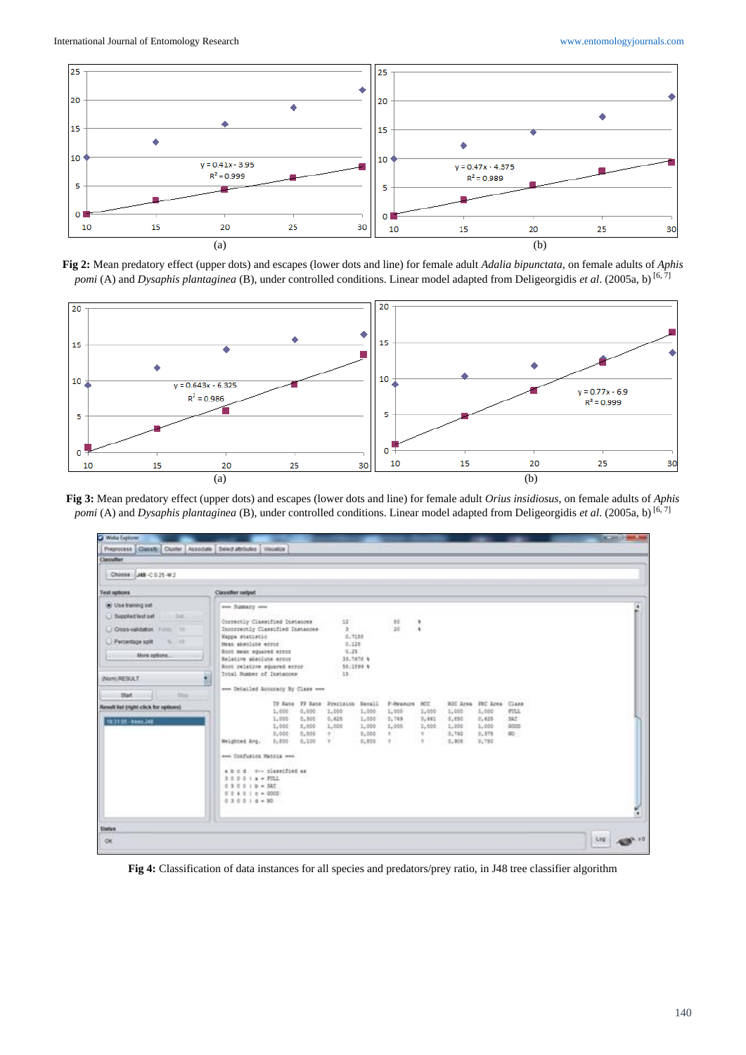

**Fig 2:** Mean predatory effect (upper dots) and escapes (lower dots and line) for female adult *Adalia bipunctata*, on female adults of *Aphis pomi* (A) and *Dysaphis plantaginea* (B), under controlled conditions. Linear model adapted from Deligeorgidis *et al.* (2005a, b)<sup>[6,7]</sup>



**Fig 3:** Mean predatory effect (upper dots) and escapes (lower dots and line) for female adult *Orius insidiosus*, on female adults of *Aphis pomi* (A) and *Dysaphis plantaginea* (B), under controlled conditions. Linear model adapted from Deligeorgidis *et al.* (2005a, b)<sup>[6,7]</sup>

| Preprocess Classify Cluster Associate Select attributes Visualize<br>Classifier                                                                                 |                                                                                                                                                                                                                                                    |                                           |                                           |                                                                          |                                           |                                           |                                           |                                           |                                            |                                       |       |
|-----------------------------------------------------------------------------------------------------------------------------------------------------------------|----------------------------------------------------------------------------------------------------------------------------------------------------------------------------------------------------------------------------------------------------|-------------------------------------------|-------------------------------------------|--------------------------------------------------------------------------|-------------------------------------------|-------------------------------------------|-------------------------------------------|-------------------------------------------|--------------------------------------------|---------------------------------------|-------|
|                                                                                                                                                                 |                                                                                                                                                                                                                                                    |                                           |                                           |                                                                          |                                           |                                           |                                           |                                           |                                            |                                       |       |
| Choose : JAB -C 0.25-M2                                                                                                                                         |                                                                                                                                                                                                                                                    |                                           |                                           |                                                                          |                                           |                                           |                                           |                                           |                                            |                                       |       |
| Test options:                                                                                                                                                   | Classifier output                                                                                                                                                                                                                                  |                                           |                                           |                                                                          |                                           |                                           |                                           |                                           |                                            |                                       |       |
| <b>B</b> Use training set<br>Supplied to at Left<br>to:<br>L. Cross-validation Furnit 111<br>Percentage split<br>N. 188<br>More options.<br><b>JAMIN RESULT</b> | wes furnary were<br>Correctly Classified Instances<br>Incorpectly Classified Instances<br>Mappa statistic<br>Henn absolute error<br>Root mean squared error<br>Relative absolute ersus<br>Soot relative aquares error<br>Total Number of Instances |                                           |                                           | 12<br>÷.<br>1.7111<br>0.128<br>0.25<br>33,7478 \$<br>56.1899 N<br>$23 -$ |                                           | $\frac{10}{20}$ :                         |                                           |                                           |                                            |                                       |       |
| <b>Start</b><br><b>Street</b>                                                                                                                                   | over Detailed Accuracy by Class new                                                                                                                                                                                                                |                                           |                                           | IF Rate IF Rate Precision Recall                                         |                                           | F-Measure HOC                             |                                           |                                           | ROC Area FRC Area Class                    |                                       |       |
| Result list tright click for options)<br>183105-1006.34K                                                                                                        | Weighted Avg.                                                                                                                                                                                                                                      | 1,000<br>1,000<br>1,000<br>5,000<br>0,800 | 0.000<br>0.500<br>0,000<br>0.000<br>0.100 | 1,000<br>0.628<br>1,000<br>$\mathcal{F}$ .<br>$3 -$                      | 1,000<br>1,500<br>1,000<br>0.000<br>0.010 | 1,000<br>0,743<br>1,000<br>$2 - 1$<br>311 | 1,000<br>7,667<br>1,000<br>$1 -$<br>$3 -$ | 1,000<br>0.850<br>1,000<br>0.782<br>0.900 | 5,000<br>0.425<br>1,000<br>2, 215<br>0.750 | FULL.<br>347<br>0000<br>$\frac{1}{2}$ |       |
|                                                                                                                                                                 | non Confusion Matrix non<br>a b c d - c-- classified as<br>30001a - POLL<br>$0.50018 + 327$<br>$0.0401c = 9000$<br>$0.30014 - 20$                                                                                                                  |                                           |                                           |                                                                          |                                           |                                           |                                           |                                           |                                            |                                       |       |
| <b>Status</b>                                                                                                                                                   |                                                                                                                                                                                                                                                    |                                           |                                           |                                                                          |                                           |                                           |                                           |                                           |                                            |                                       |       |
| <b>GK</b>                                                                                                                                                       |                                                                                                                                                                                                                                                    |                                           |                                           |                                                                          |                                           |                                           |                                           |                                           |                                            |                                       | (Ltg) |

**Fig 4:** Classification of data instances for all species and predators/prey ratio, in J48 tree classifier algorithm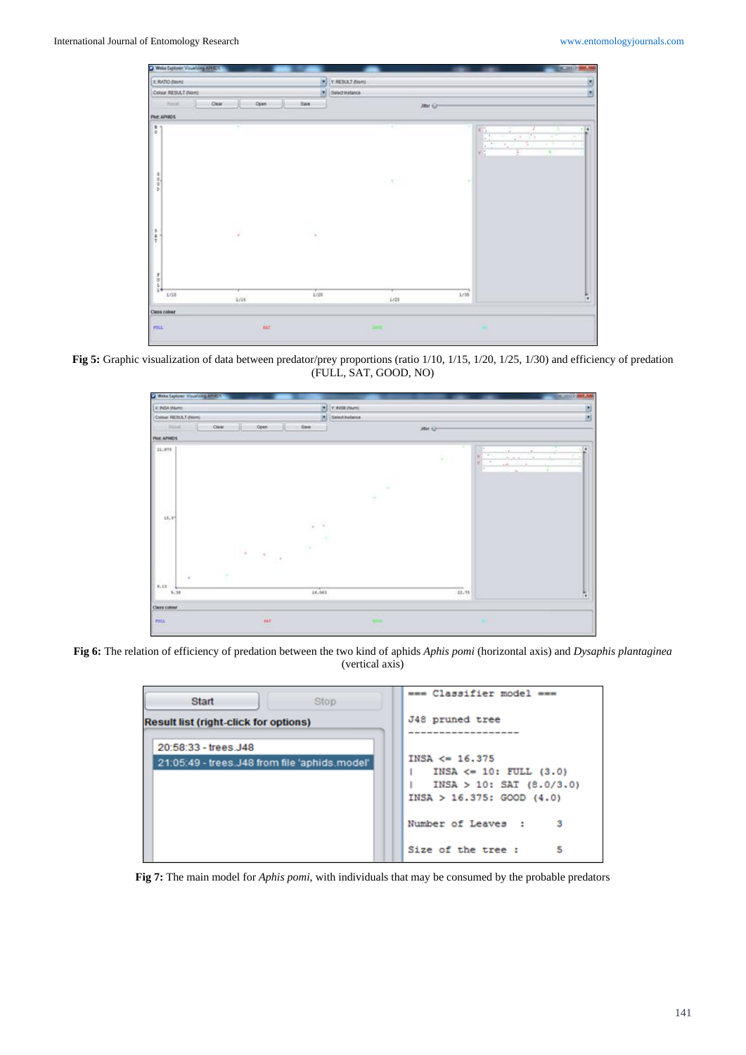|                                | Weke Explorer: Visual cing APHES |               |                      |                 |                                                       | $-10 - 30$                                                                                                                                              |  |  |  |  |
|--------------------------------|----------------------------------|---------------|----------------------|-----------------|-------------------------------------------------------|---------------------------------------------------------------------------------------------------------------------------------------------------------|--|--|--|--|
|                                | X AATO (Now)                     |               | ×<br>Y. RESULT (Nom) |                 |                                                       | <b>E</b>                                                                                                                                                |  |  |  |  |
| ×<br>Colour, RESULT (Nom)      |                                  |               |                      | Select Instance |                                                       |                                                                                                                                                         |  |  |  |  |
|                                | <b>Hand</b>                      | Open<br>Clear | <b>Gar</b>           |                 | Jane Giv-                                             |                                                                                                                                                         |  |  |  |  |
|                                | Plot: APHIDS                     |               |                      |                 |                                                       |                                                                                                                                                         |  |  |  |  |
| $\frac{1}{\delta}$<br>0.000    |                                  | ٠             |                      | ٠               | $\frac{1}{2}$<br>S.<br>$\frac{1}{\sqrt{2}}$<br>$\sim$ | -14<br>7<br>$\frac{1}{\frac{1}{\sqrt{2}}\sum_{i=1}^{n}a_{i}^{2}}\sum_{i=1}^{n}a_{i}^{2}\left( \frac{1}{\sqrt{2}}\right) ^{n}$<br>Ŧ<br>m<br>T.<br>÷<br>τ |  |  |  |  |
| $\frac{1}{2}$                  |                                  |               |                      | <b>MAGE</b>     |                                                       |                                                                                                                                                         |  |  |  |  |
| $\frac{1}{2}$ or $\frac{1}{2}$ |                                  | $\lambda$     | $\sim$               |                 |                                                       |                                                                                                                                                         |  |  |  |  |
|                                | LGB                              | 3/15          | 1/28                 | 1/25            | 1/30                                                  | г                                                                                                                                                       |  |  |  |  |
|                                | Class colour                     |               |                      |                 |                                                       |                                                                                                                                                         |  |  |  |  |
| PILL                           |                                  | <b>ME</b>     |                      | <b>MCE</b>      | ۰                                                     |                                                                                                                                                         |  |  |  |  |

**Fig 5:** Graphic visualization of data between predator/prey proportions (ratio 1/10, 1/15, 1/20, 1/25, 1/30) and efficiency of predation (FULL, SAT, GOOD, NO)

| X PIGA DWNL          |        |              | мł          | Y. MOB (Nem)    |             |           |                                                                      |           |
|----------------------|--------|--------------|-------------|-----------------|-------------|-----------|----------------------------------------------------------------------|-----------|
| Colour: REBULT (Nom) |        |              | iel.        | Select Instance |             |           |                                                                      | E         |
| 1.0004               | Osar   | Open         | Save        |                 |             | JBH GH    |                                                                      |           |
| Plot: APHIDS         |        |              |             |                 |             |           |                                                                      |           |
| 21,978               |        |              |             |                 |             | 氣         | - 1<br>$\sim$<br>Automobile Co.<br>$\sim$<br>$38 - 10$<br><b>COL</b> | ٠<br>$-1$ |
|                      |        |              |             |                 | ٠           |           |                                                                      |           |
|                      |        |              |             |                 | $\sim$      |           |                                                                      |           |
| YO.                  |        |              |             |                 |             |           |                                                                      |           |
| $15, \bar{3}^\circ$  |        |              |             |                 |             |           |                                                                      |           |
|                      |        |              | $\sim$<br>× |                 |             |           |                                                                      |           |
|                      |        |              |             | ٠               |             |           |                                                                      |           |
|                      | 弢      | $\sim$<br>÷. | $\sim$      |                 |             |           |                                                                      |           |
| t<br>$_{\rm 2,13}$   | $\sim$ |              |             |                 |             |           |                                                                      |           |
| 9,38                 |        |              | 16.003      |                 |             | <br>32.95 |                                                                      | ٠         |
| Class colour         |        |              |             |                 |             |           |                                                                      |           |
| $\tau m\lambda$      |        | $^{\rm int}$ |             |                 | <b>SHOP</b> |           | ٠                                                                    |           |

**Fig 6:** The relation of efficiency of predation between the two kind of aphids *Aphis pomi* (horizontal axis) and *Dysaphis plantaginea*  (vertical axis)

| <b>Start</b><br><b>Stop</b>                                           | --- Classifier model ---                                                                                                                                                      |
|-----------------------------------------------------------------------|-------------------------------------------------------------------------------------------------------------------------------------------------------------------------------|
| <b>Result list (right-click for options)</b>                          | J48 pruned tree                                                                                                                                                               |
| 20:58:33 - trees.J48<br>21:05:49 - trees.J48 from file 'aphids.model' | $INSA \leq 16.375$<br>INSA $\leq$ 10: FULL $(3.0)$<br>г<br>$INSA > 10$ : SAT $(8.0/3.0)$<br>$INSA > 16.375$ : GOOD (4.0)<br>Number of Leaves :<br>з<br>Size of the tree:<br>5 |

**Fig 7:** The main model for *Aphis pomi*, with individuals that may be consumed by the probable predators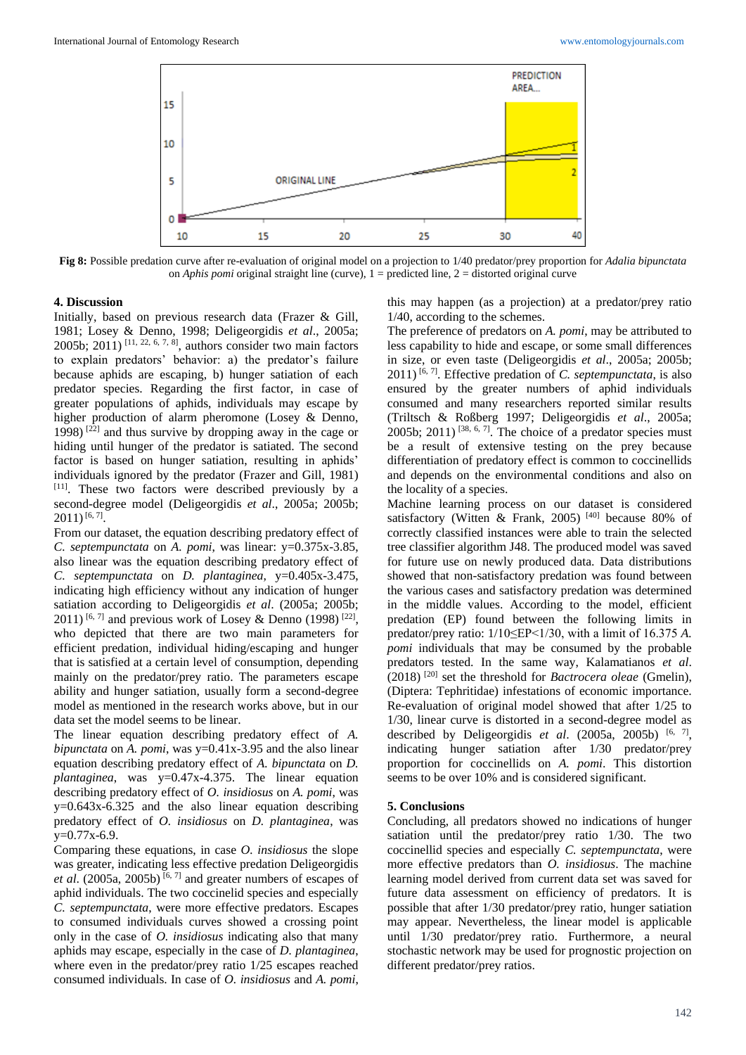

**Fig 8:** Possible predation curve after re-evaluation of original model on a projection to 1/40 predator/prey proportion for *Adalia bipunctata* on *Aphis pomi* original straight line (curve),  $1 =$  predicted line,  $2 =$  distorted original curve

#### **4. Discussion**

Initially, based on previous research data (Frazer & Gill, 1981; Losey & Denno, 1998; Deligeorgidis *et al*., 2005a; 2005b; 2011)<sup>[11, 22, 6, 7, 8]</sup>, authors consider two main factors to explain predators' behavior: a) the predator's failure because aphids are escaping, b) hunger satiation of each predator species. Regarding the first factor, in case of greater populations of aphids, individuals may escape by higher production of alarm pheromone (Losey & Denno, 1998)  $[22]$  and thus survive by dropping away in the cage or hiding until hunger of the predator is satiated. The second factor is based on hunger satiation, resulting in aphids' individuals ignored by the predator (Frazer and Gill, 1981) [11]. These two factors were described previously by a second-degree model (Deligeorgidis *et al*., 2005a; 2005b;  $2011)$ <sup>[6, 7]</sup>.

From our dataset, the equation describing predatory effect of *C. septempunctata* on *A. pomi*, was linear: y=0.375x-3.85, also linear was the equation describing predatory effect of *C. septempunctata* on *D. plantaginea*, y=0.405x-3.475, indicating high efficiency without any indication of hunger satiation according to Deligeorgidis *et al*. (2005a; 2005b;  $2011$ ) [6, 7] and previous work of Losey & Denno (1998) [22], who depicted that there are two main parameters for efficient predation, individual hiding/escaping and hunger that is satisfied at a certain level of consumption, depending mainly on the predator/prey ratio. The parameters escape ability and hunger satiation, usually form a second-degree model as mentioned in the research works above, but in our data set the model seems to be linear.

The linear equation describing predatory effect of *A. bipunctata* on *A. pomi*, was y=0.41x-3.95 and the also linear equation describing predatory effect of *A. bipunctata* on *D. plantaginea*, was y=0.47x-4.375. The linear equation describing predatory effect of *O. insidiosus* on *A. pomi*, was  $y=0.643x-6.325$  and the also linear equation describing predatory effect of *O. insidiosus* on *D. plantaginea*, was  $y=0.77x-6.9$ .

Comparing these equations, in case *O. insidiosus* the slope was greater, indicating less effective predation Deligeorgidis *et al.* (2005a, 2005b)<sup> $[6, 7]$ </sup> and greater numbers of escapes of aphid individuals. The two coccinelid species and especially *C. septempunctata*, were more effective predators. Escapes to consumed individuals curves showed a crossing point only in the case of *O. insidiosus* indicating also that many aphids may escape, especially in the case of *D. plantaginea*, where even in the predator/prey ratio 1/25 escapes reached consumed individuals. In case of *O. insidiosus* and *A. pomi*,

this may happen (as a projection) at a predator/prey ratio 1/40, according to the schemes.

The preference of predators on *A. pomi*, may be attributed to less capability to hide and escape, or some small differences in size, or even taste (Deligeorgidis *et al*., 2005a; 2005b;  $2011$ )<sup>[6,7]</sup>. Effective predation of *C. septempunctata*, is also ensured by the greater numbers of aphid individuals consumed and many researchers reported similar results (Triltsch & Roßberg 1997; Deligeorgidis *et al*., 2005a; 2005b; 2011)  $[38, 6, 7]$ . The choice of a predator species must be a result of extensive testing on the prey because differentiation of predatory effect is common to coccinellids and depends on the environmental conditions and also on the locality of a species.

Machine learning process on our dataset is considered satisfactory (Witten & Frank, 2005)<sup>[40]</sup> because 80% of correctly classified instances were able to train the selected tree classifier algorithm J48. The produced model was saved for future use on newly produced data. Data distributions showed that non-satisfactory predation was found between the various cases and satisfactory predation was determined in the middle values. According to the model, efficient predation (EP) found between the following limits in predator/prey ratio: 1/10≤EP<1/30, with a limit of 16.375 *A. pomi* individuals that may be consumed by the probable predators tested. In the same way, Kalamatianos *et al*. (2018) [20] set the threshold for *Bactrocera oleae* (Gmelin), (Diptera: Tephritidae) infestations of economic importance. Re-evaluation of original model showed that after 1/25 to 1/30, linear curve is distorted in a second-degree model as described by Deligeorgidis  $et \ al.$  (2005a, 2005b)  $[6, 7]$ , indicating hunger satiation after 1/30 predator/prey proportion for coccinellids on *A. pomi*. This distortion seems to be over 10% and is considered significant.

#### **5. Conclusions**

Concluding, all predators showed no indications of hunger satiation until the predator/prey ratio 1/30. The two coccinellid species and especially *C. septempunctata*, were more effective predators than *O. insidiosus*. The machine learning model derived from current data set was saved for future data assessment on efficiency of predators. It is possible that after 1/30 predator/prey ratio, hunger satiation may appear. Nevertheless, the linear model is applicable until 1/30 predator/prey ratio. Furthermore, a neural stochastic network may be used for prognostic projection on different predator/prey ratios.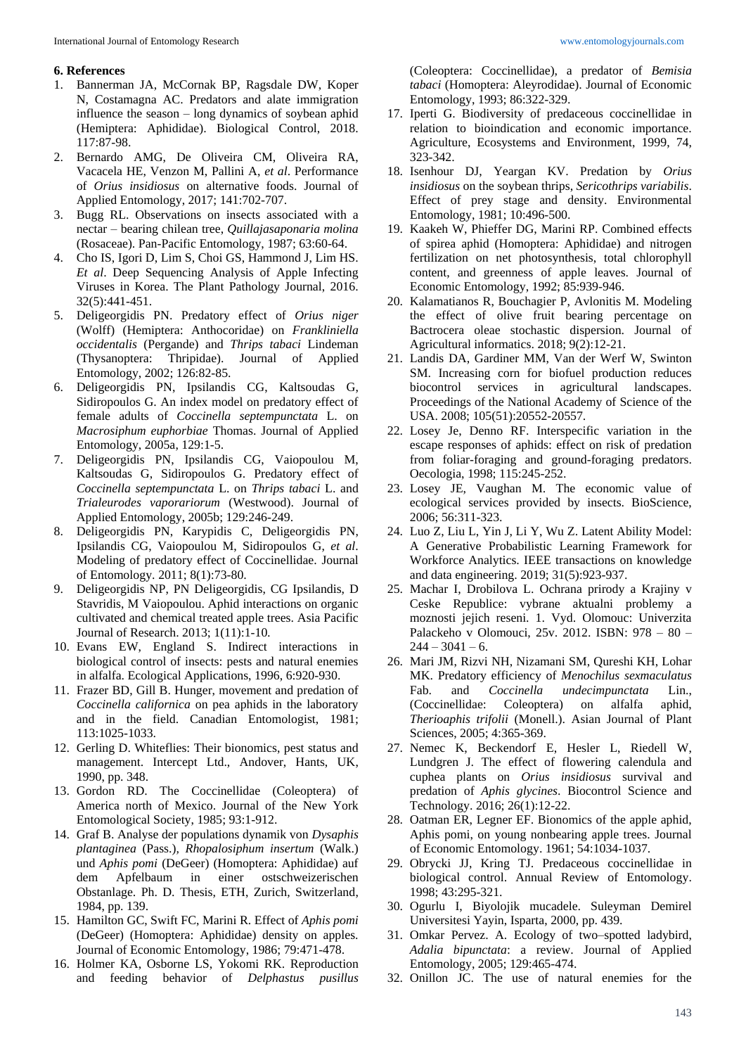#### **6. References**

- 1. Bannerman JA, McCornak BP, Ragsdale DW, Koper N, Costamagna AC. Predators and alate immigration influence the season – long dynamics of soybean aphid (Hemiptera: Aphididae). Biological Control, 2018. 117:87-98.
- 2. Bernardo AMG, De Oliveira CM, Oliveira RA, Vacacela HE, Venzon M, Pallini A, *et al*. Performance of *Orius insidiosus* on alternative foods. Journal of Applied Entomology, 2017; 141:702-707.
- 3. Bugg RL. Observations on insects associated with a nectar – bearing chilean tree, *Quillajasaponaria molina* (Rosaceae). Pan-Pacific Entomology, 1987; 63:60-64.
- 4. Cho IS, Igori D, Lim S, Choi GS, Hammond J, Lim HS. *Et al*. Deep Sequencing Analysis of Apple Infecting Viruses in Korea. The Plant Pathology Journal, 2016. 32(5):441-451.
- 5. Deligeorgidis PN. Predatory effect of *Orius niger* (Wolff) (Hemiptera: Anthocoridae) on *Frankliniella occidentalis* (Pergande) and *Thrips tabaci* Lindeman (Thysanoptera: Thripidae). Journal of Applied Entomology, 2002; 126:82-85.
- 6. Deligeorgidis PN, Ipsilandis CG, Kaltsoudas G, Sidiropoulos G. An index model on predatory effect of female adults of *Coccinella septempunctata* L. on *Macrosiphum euphorbiae* Thomas. Journal of Applied Entomology, 2005a, 129:1-5.
- 7. Deligeorgidis PN, Ipsilandis CG, Vaiopoulou M, Kaltsoudas G, Sidiropoulos G. Predatory effect of *Coccinella septempunctata* L. on *Thrips tabaci* L. and *Trialeurodes vaporariorum* (Westwood). Journal of Applied Entomology, 2005b; 129:246-249.
- 8. Deligeorgidis PN, Karypidis C, Deligeorgidis PN, Ipsilandis CG, Vaiopoulou M, Sidiropoulos G, *et al*. Modeling of predatory effect of Coccinellidae. Journal of Entomology. 2011; 8(1):73-80.
- 9. Deligeorgidis NP, PN Deligeorgidis, CG Ipsilandis, D Stavridis, M Vaiopoulou. Aphid interactions on organic cultivated and chemical treated apple trees. Asia Pacific Journal of Research. 2013; 1(11):1-10*.*
- 10. Evans EW, England S. Indirect interactions in biological control of insects: pests and natural enemies in alfalfa. Ecological Applications, 1996, 6:920-930.
- 11. Frazer BD, Gill B. Hunger, movement and predation of *Coccinella californica* on pea aphids in the laboratory and in the field. Canadian Entomologist, 1981; 113:1025-1033.
- 12. Gerling D. Whiteflies: Their bionomics, pest status and management. Intercept Ltd., Andover, Hants, UK, 1990, pp. 348.
- 13. Gordon RD. The Coccinellidae (Coleoptera) of America north of Mexico. Journal of the New York Entomological Society, 1985; 93:1-912.
- 14. Graf B. Analyse der populations dynamik von *Dysaphis plantaginea* (Pass.)*, Rhopalosiphum insertum* (Walk.) und *Aphis pomi* (DeGeer) (Homoptera: Aphididae) auf dem Apfelbaum in einer ostschweizerischen Obstanlage. Ph. D. Thesis, ETH, Zurich, Switzerland, 1984, pp. 139.
- 15. Hamilton GC, Swift FC, Marini R. Effect of *Aphis pomi*  (DeGeer) (Homoptera: Aphididae) density on apples. Journal of Economic Entomology, 1986; 79:471-478.
- 16. Holmer KA, Osborne LS, Yokomi RK. Reproduction and feeding behavior of *Delphastus pusillus*

(Coleoptera: Coccinellidae), a predator of *Bemisia tabaci* (Homoptera: Aleyrodidae). Journal of Economic Entomology, 1993; 86:322-329.

- 17. Iperti G. Biodiversity of predaceous coccinellidae in relation to bioindication and economic importance. Agriculture, Ecosystems and Environment, 1999, 74, 323-342.
- 18. Isenhour DJ, Yeargan KV. Predation by *Orius insidiosus* on the soybean thrips, *Sericothrips variabilis*. Effect of prey stage and density. Environmental Entomology, 1981; 10:496-500.
- 19. Kaakeh W, Phieffer DG, Marini RP. Combined effects of spirea aphid (Homoptera: Aphididae) and nitrogen fertilization on net photosynthesis, total chlorophyll content, and greenness of apple leaves. Journal of Economic Entomology, 1992; 85:939-946.
- 20. Kalamatianos R, Bouchagier P, Avlonitis M. Modeling the effect of olive fruit bearing percentage on Bactrocera oleae stochastic dispersion. Journal of Agricultural informatics. 2018; 9(2):12-21.
- 21. Landis DA, Gardiner MM, Van der Werf W, Swinton SM. Increasing corn for biofuel production reduces biocontrol services in agricultural landscapes. Proceedings of the National Academy of Science of the USA. 2008; 105(51):20552-20557.
- 22. Losey Je, Denno RF. Interspecific variation in the escape responses of aphids: effect on risk of predation from foliar-foraging and ground-foraging predators. Oecologia, 1998; 115:245-252.
- 23. Losey JE, Vaughan M. The economic value of ecological services provided by insects. BioScience, 2006; 56:311-323.
- 24. Luo Z, Liu L, Yin J, Li Y, Wu Z. Latent Ability Model: A Generative Probabilistic Learning Framework for Workforce Analytics. IEEE transactions on knowledge and data engineering. 2019; 31(5):923-937.
- 25. Machar I, Drobilova L. Ochrana prirody a Krajiny v Ceske Republice: vybrane aktualni problemy a moznosti jejich reseni. 1. Vyd. Olomouc: Univerzita Palackeho v Olomouci, 25v. 2012. ISBN: 978 – 80 –  $244 - 3041 - 6$ .
- 26. Mari JM, Rizvi NH, Nizamani SM, Qureshi KH, Lohar MK. Predatory efficiency of *Menochilus sexmaculatus* Fab. and *Coccinella undecimpunctata* Lin., (Coccinellidae: Coleoptera) on alfalfa aphid, *Therioaphis trifolii* (Monell.). Asian Journal of Plant Sciences, 2005; 4:365-369.
- 27. Nemec K, Beckendorf E, Hesler L, Riedell W, Lundgren J. The effect of flowering calendula and cuphea plants on *Orius insidiosus* survival and predation of *Aphis glycines*. Biocontrol Science and Technology. 2016; 26(1):12-22.
- 28. Oatman ER, Legner EF. Bionomics of the apple aphid, Aphis pomi, on young nonbearing apple trees. Journal of Economic Entomology. 1961; 54:1034-1037.
- 29. Obrycki JJ, Kring TJ. Predaceous coccinellidae in biological control. Annual Review of Entomology. 1998; 43:295-321.
- 30. Ogurlu I, Biyolojik mucadele. Suleyman Demirel Universitesi Yayin, Isparta, 2000, pp. 439.
- 31. Omkar Pervez. A. Ecology of two–spotted ladybird, *Adalia bipunctata*: a review. Journal of Applied Entomology, 2005; 129:465-474.
- 32. Onillon JC. The use of natural enemies for the